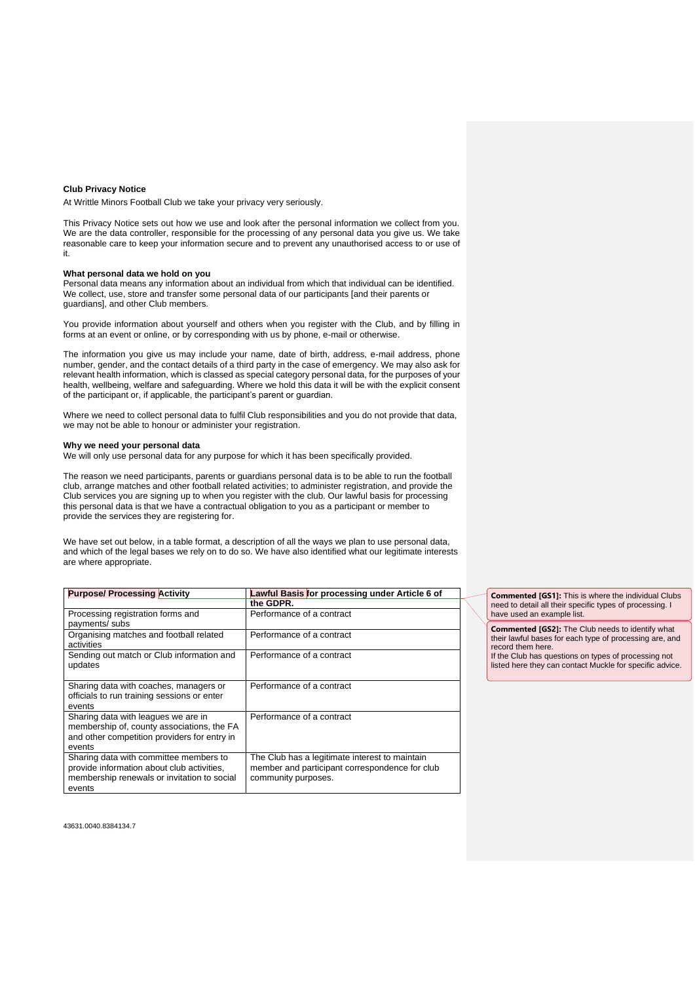#### **Club Privacy Notice**

At Writtle Minors Football Club we take your privacy very seriously.

This Privacy Notice sets out how we use and look after the personal information we collect from you. We are the data controller, responsible for the processing of any personal data you give us. We take reasonable care to keep your information secure and to prevent any unauthorised access to or use of it.

# **What personal data we hold on you**

Personal data means any information about an individual from which that individual can be identified. We collect, use, store and transfer some personal data of our participants [and their parents or guardians], and other Club members.

You provide information about yourself and others when you register with the Club, and by filling in forms at an event or online, or by corresponding with us by phone, e-mail or otherwise.

The information you give us may include your name, date of birth, address, e-mail address, phone number, gender, and the contact details of a third party in the case of emergency. We may also ask for relevant health information, which is classed as special category personal data, for the purposes of your health, wellbeing, welfare and safeguarding. Where we hold this data it will be with the explicit consent of the participant or, if applicable, the participant's parent or guardian.

Where we need to collect personal data to fulfil Club responsibilities and you do not provide that data, we may not be able to honour or administer your registration.

#### **Why we need your personal data**

We will only use personal data for any purpose for which it has been specifically provided.

The reason we need participants, parents or guardians personal data is to be able to run the football club, arrange matches and other football related activities; to administer registration, and provide the Club services you are signing up to when you register with the club. Our lawful basis for processing this personal data is that we have a contractual obligation to you as a participant or member to provide the services they are registering for.

We have set out below, in a table format, a description of all the ways we plan to use personal data, and which of the legal bases we rely on to do so. We have also identified what our legitimate interests are where appropriate.

| <b>Purpose/ Processing Activity</b>                                                                                                           | Lawful Basis for processing under Article 6 of                                                                          |
|-----------------------------------------------------------------------------------------------------------------------------------------------|-------------------------------------------------------------------------------------------------------------------------|
|                                                                                                                                               | the GDPR.                                                                                                               |
| Processing registration forms and<br>payments/ subs                                                                                           | Performance of a contract                                                                                               |
| Organising matches and football related<br>activities                                                                                         | Performance of a contract                                                                                               |
| Sending out match or Club information and<br>updates                                                                                          | Performance of a contract                                                                                               |
| Sharing data with coaches, managers or<br>officials to run training sessions or enter<br>events                                               | Performance of a contract                                                                                               |
| Sharing data with leagues we are in<br>membership of, county associations, the FA<br>and other competition providers for entry in<br>events   | Performance of a contract                                                                                               |
| Sharing data with committee members to<br>provide information about club activities,<br>membership renewals or invitation to social<br>events | The Club has a legitimate interest to maintain<br>member and participant correspondence for club<br>community purposes. |

**Commented [GS1]:** This is where the individual Clubs need to detail all their specific types of processing. I have used an example list.

**Commented [GS2]:** The Club needs to identify what their lawful bases for each type of processing are, and record them here. If the Club has questions on types of processing not

listed here they can contact Muckle for specific advice.

43631.0040.8384134.7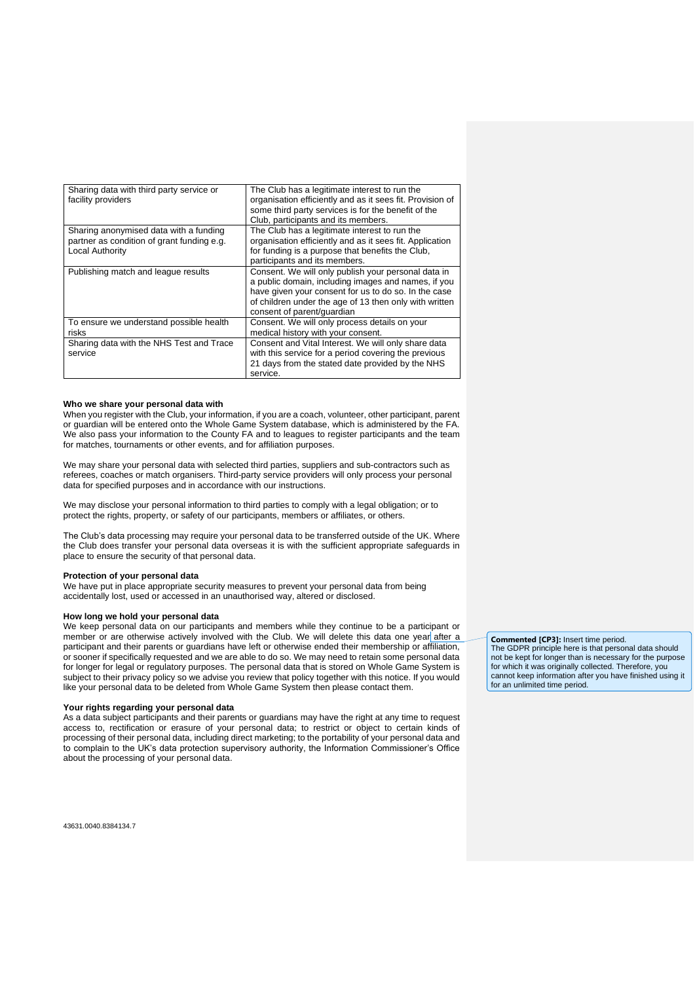| Sharing data with third party service or<br>facility providers                                                 | The Club has a legitimate interest to run the<br>organisation efficiently and as it sees fit. Provision of<br>some third party services is for the benefit of the<br>Club, participants and its members.                                                   |
|----------------------------------------------------------------------------------------------------------------|------------------------------------------------------------------------------------------------------------------------------------------------------------------------------------------------------------------------------------------------------------|
| Sharing anonymised data with a funding<br>partner as condition of grant funding e.g.<br><b>Local Authority</b> | The Club has a legitimate interest to run the<br>organisation efficiently and as it sees fit. Application<br>for funding is a purpose that benefits the Club,<br>participants and its members.                                                             |
| Publishing match and league results                                                                            | Consent. We will only publish your personal data in<br>a public domain, including images and names, if you<br>have given your consent for us to do so. In the case<br>of children under the age of 13 then only with written<br>consent of parent/quardian |
| To ensure we understand possible health<br>risks                                                               | Consent. We will only process details on your<br>medical history with your consent.                                                                                                                                                                        |
| Sharing data with the NHS Test and Trace<br>service                                                            | Consent and Vital Interest. We will only share data<br>with this service for a period covering the previous<br>21 days from the stated date provided by the NHS<br>service.                                                                                |

## **Who we share your personal data with**

When you register with the Club, your information, if you are a coach, volunteer, other participant, parent or guardian will be entered onto the Whole Game System database, which is administered by the FA. We also pass your information to the County FA and to leagues to register participants and the team for matches, tournaments or other events, and for affiliation purposes.

We may share your personal data with selected third parties, suppliers and sub-contractors such as referees, coaches or match organisers. Third-party service providers will only process your personal data for specified purposes and in accordance with our instructions.

We may disclose your personal information to third parties to comply with a legal obligation; or to protect the rights, property, or safety of our participants, members or affiliates, or others.

The Club's data processing may require your personal data to be transferred outside of the UK. Where the Club does transfer your personal data overseas it is with the sufficient appropriate safeguards in place to ensure the security of that personal data.

### **Protection of your personal data**

We have put in place appropriate security measures to prevent your personal data from being accidentally lost, used or accessed in an unauthorised way, altered or disclosed.

## **How long we hold your personal data**

We keep personal data on our participants and members while they continue to be a participant or member or are otherwise actively involved with the Club. We will delete this data one year after a participant and their parents or guardians have left or otherwise ended their membership or affiliation, or sooner if specifically requested and we are able to do so. We may need to retain some personal data for longer for legal or regulatory purposes. The personal data that is stored on Whole Game System is subject to their privacy policy so we advise you review that policy together with this notice. If you would like your personal data to be deleted from Whole Game System then please contact them.

# **Your rights regarding your personal data**

As a data subject participants and their parents or guardians may have the right at any time to request access to, rectification or erasure of your personal data; to restrict or object to certain kinds of processing of their personal data, including direct marketing; to the portability of your personal data and to complain to the UK's data protection supervisory authority, the Information Commissioner's Office about the processing of your personal data.

**Commented [CP3]:** Insert time period. The GDPR principle here is that personal data should not be kept for longer than is necessary for the purpose for which it was originally collected. Therefore, you cannot keep information after you have finished using it for an unlimited time period.

43631.0040.8384134.7